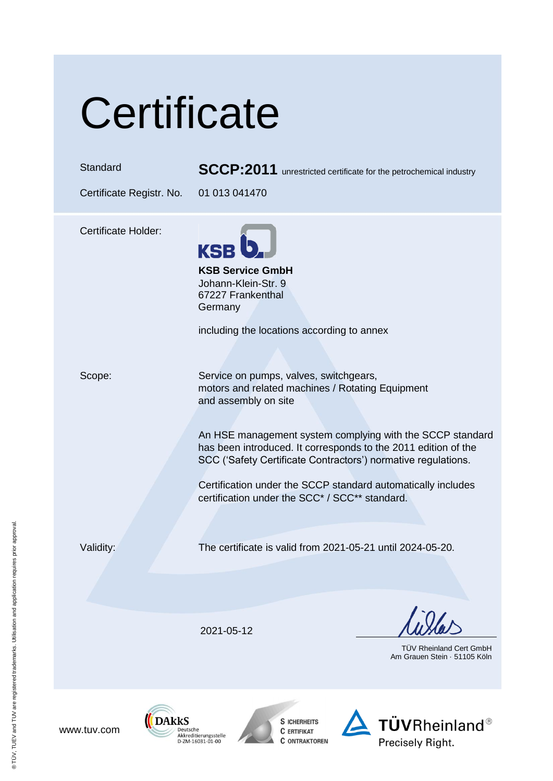# **Certificate**

Standard **SCCP:2011** unrestricted certificate for the petrochemical industry

Certificate Registr. No. 01 013 041470

Certificate Holder:









 $T\ddot{\textbf{U}}\textbf{V}$ Rheinland® Precisely Right.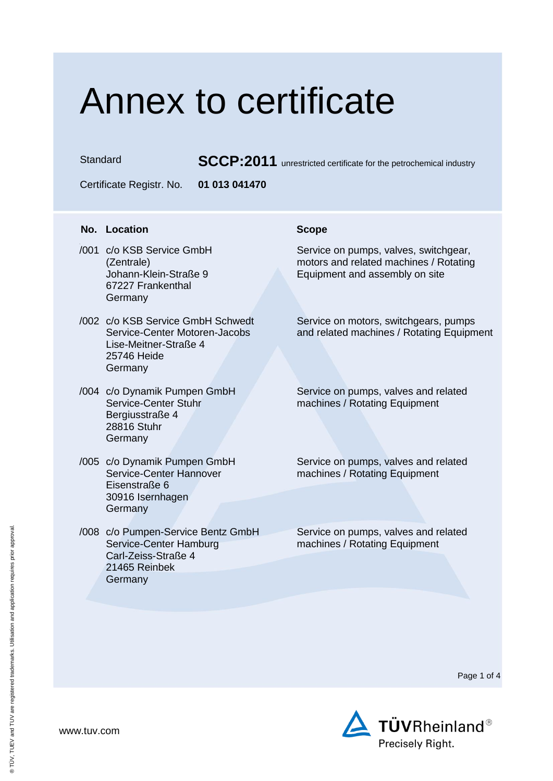## Annex to certificate

Standard **SCCP:2011** unrestricted certificate for the petrochemical industry

Certificate Registr. No. **01 013 041470**

### **No. Location Scope**

- H /001 c/o KSB Service GmbH (Zentrale) Johann-Klein-Straße 9 67227 Frankenthal Germany
- /002 c/o KSB Service GmbH Schwedt Service-Center Motoren-Jacobs Lise-Meitner-Straße 4 25746 Heide Germany
- /004 c/o Dynamik Pumpen GmbH Service-Center Stuhr Bergiusstraße 4 28816 Stuhr **Germany**
- /005 c/o Dynamik Pumpen GmbH Service-Center Hannover Eisenstraße 6 30916 Isernhagen **Germany**
- /008 c/o Pumpen-Service Bentz GmbH Service-Center Hamburg Carl-Zeiss-Straße 4 21465 Reinbek **Germany**

Service on pumps, valves, switchgear, motors and related machines / Rotating Equipment and assembly on site

Service on motors, switchgears, pumps and related machines / Rotating Equipment

Service on pumps, valves and related machines / Rotating Equipment

Service on pumps, valves and related machines / Rotating Equipment

Service on pumps, valves and related machines / Rotating Equipment

Page 1 of 4

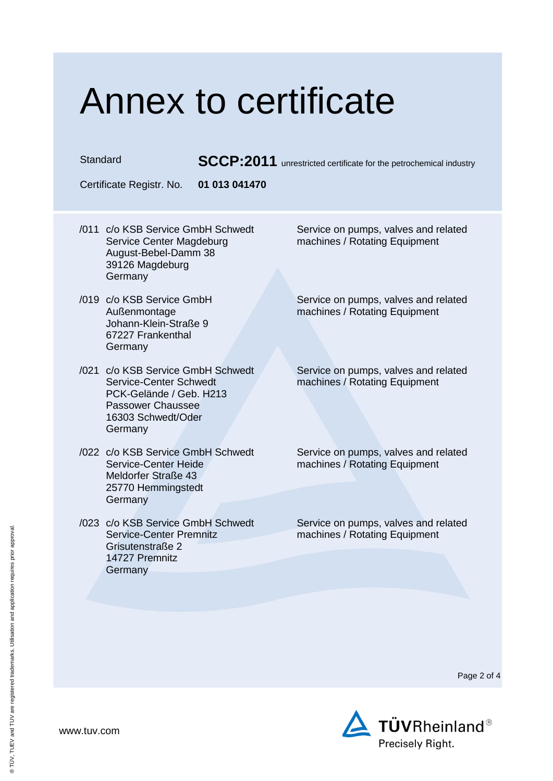## Annex to certificate

Standard **SCCP:2011** unrestricted certificate for the petrochemical industry

Certificate Registr. No. **01 013 041470**

- /011 c/o KSB Service GmbH Schwedt Service Center Magdeburg August-Bebel-Damm 38 39126 Magdeburg Germany
- /019 c/o KSB Service GmbH Außenmontage Johann-Klein-Straße 9 67227 Frankenthal Germany
- /021 c/o KSB Service GmbH Schwedt Service-Center Schwedt PCK-Gelände / Geb. H213 Passower Chaussee 16303 Schwedt/Oder Germany
- /022 c/o KSB Service GmbH Schwedt Service-Center Heide Meldorfer Straße 43 25770 Hemmingstedt **Germany**
- /023 c/o KSB Service GmbH Schwedt Service-Center Premnitz Grisutenstraße 2 14727 Premnitz **Germany**

Service on pumps, valves and related machines / Rotating Equipment

Service on pumps, valves and related machines / Rotating Equipment

Service on pumps, valves and related machines / Rotating Equipment

Service on pumps, valves and related machines / Rotating Equipment

Service on pumps, valves and related machines / Rotating Equipment

Page 2 of 4

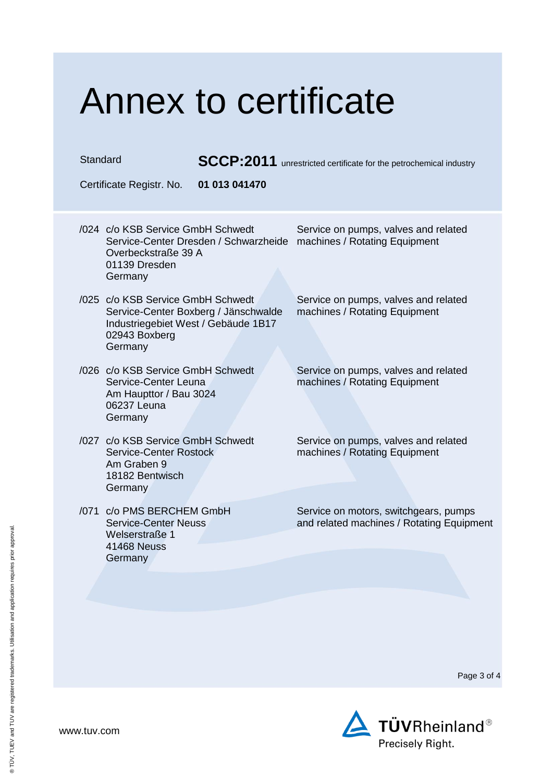### Annex to certificate Standard **SCCP:2011** unrestricted certificate for the petrochemical industry Certificate Registr. No. **01 013 041470** /024 c/o KSB Service GmbH Schwedt Service-Center Dresden / Schwarzheide machines / Rotating Equipment Overbeckstraße 39 A 01139 Dresden Germany Service on pumps, valves and related /025 c/o KSB Service GmbH Schwedt Service-Center Boxberg / Jänschwalde Industriegebiet West / Gebäude 1B17 02943 Boxberg **Germany** Service on pumps, valves and related machines / Rotating Equipment /026 c/o KSB Service GmbH Schwedt Service-Center Leuna Am Haupttor / Bau 3024 06237 Leuna Germany Service on pumps, valves and related machines / Rotating Equipment /027 c/o KSB Service GmbH Schwedt Service-Center Rostock Am Graben 9 18182 Bentwisch **Germany** Service on pumps, valves and related machines / Rotating Equipment /071 c/o PMS BERCHEM GmbH Service-Center Neuss Welserstraße 1 41468 Neuss **Germany** Service on motors, switchgears, pumps and related machines / Rotating Equipment

Page 3 of 4



www.tuv.com